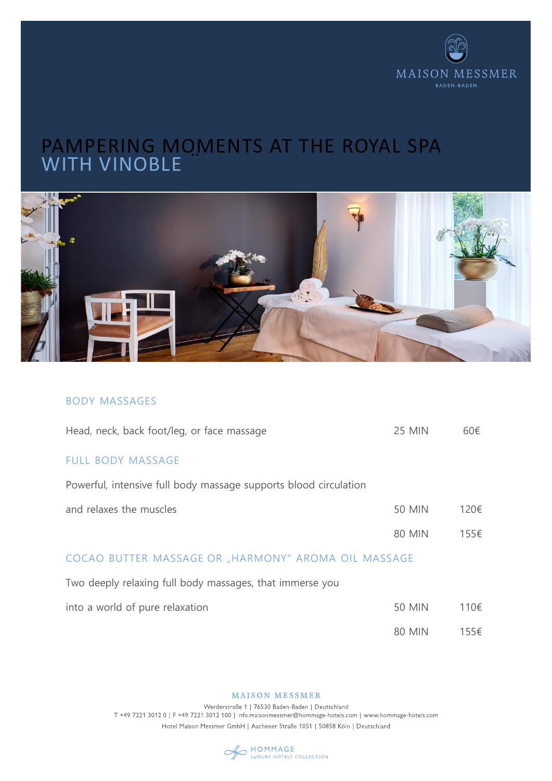

# PAMPERING MOMENTS AT THE ROYAL SPA SSPASSPASSER STATE IN ROYAL SPACE IN ROYAL SPACE IN ROYAL SPACE IN ROYAL SPACE IN ROYAL SPACE IN ROYAL SPACE I WITH VINOBLE



## BODY MASSAGES

| Head, neck, back foot/leg, or face massage                       | <b>25 MIN</b> | 60€  |
|------------------------------------------------------------------|---------------|------|
| <b>FULL BODY MASSAGE</b>                                         |               |      |
| Powerful, intensive full body massage supports blood circulation |               |      |
| and relaxes the muscles                                          | <b>50 MIN</b> | 120€ |
|                                                                  | <b>80 MIN</b> | 155€ |
| COCAO BUTTER MASSAGE OR "HARMONY" AROMA OIL MASSAGE              |               |      |
| Two deeply relaxing full body massages, that immerse you         |               |      |
| into a world of pure relaxation                                  | <b>50 MIN</b> | 110€ |
|                                                                  | <b>80 MIN</b> | 155€ |

**MAISON MESSMER** 

Werderstraße 1 | 76530 Baden-Baden | Deutschland T +49 7221 3012 0 | F +49 7221 3012 100 | info.maisonmessmer@hommage-hotels.com | www.hommage-hotels.com Hotel Maison Messmer GmbH | Aachener Straße 1051 | 50858 Köln | Deutschland

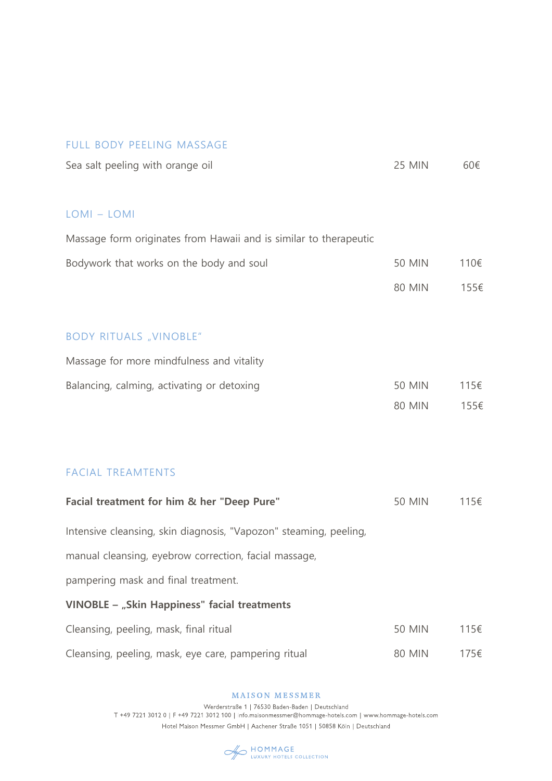### FULL BODY PEELING MASSAGE

| Sea salt peeling with orange oil | 25 MIN | 60€ |
|----------------------------------|--------|-----|
|----------------------------------|--------|-----|

### LOMI – LOMI

| Massage form originates from Hawaii and is similar to therapeutic |               |      |
|-------------------------------------------------------------------|---------------|------|
| Bodywork that works on the body and soul                          | <b>50 MIN</b> | 110€ |
|                                                                   | <b>80 MIN</b> | 155€ |
|                                                                   |               |      |
| <b>BODY RITUALS "VINOBLE"</b>                                     |               |      |
| Massage for more mindfulness and vitality                         |               |      |
| Balancing, calming, activating or detoxing                        | <b>50 MIN</b> | 115€ |
|                                                                   | <b>80 MIN</b> | 155€ |
|                                                                   |               |      |

# FACIAL TREAMTENTS

| Facial treatment for him & her "Deep Pure"                        | 50 MIN        | 115€ |
|-------------------------------------------------------------------|---------------|------|
| Intensive cleansing, skin diagnosis, "Vapozon" steaming, peeling, |               |      |
| manual cleansing, eyebrow correction, facial massage,             |               |      |
| pampering mask and final treatment.                               |               |      |
| VINOBLE - "Skin Happiness" facial treatments                      |               |      |
| Cleansing, peeling, mask, final ritual                            | <b>50 MIN</b> | 115€ |
| Cleansing, peeling, mask, eye care, pampering ritual              | 80 MIN        | 175€ |

MAISON MESSMER

Werderstraße 1 | 76530 Baden-Baden | Deutschland<br>T +49 7221 3012 0 | F +49 7221 3012 100 | info.maisonmessmer@hommage-hotels.com | www.hommage-hotels.com Hotel Maison Messmer GmbH | Aachener Straße 1051 | 50858 Köln | Deutschland